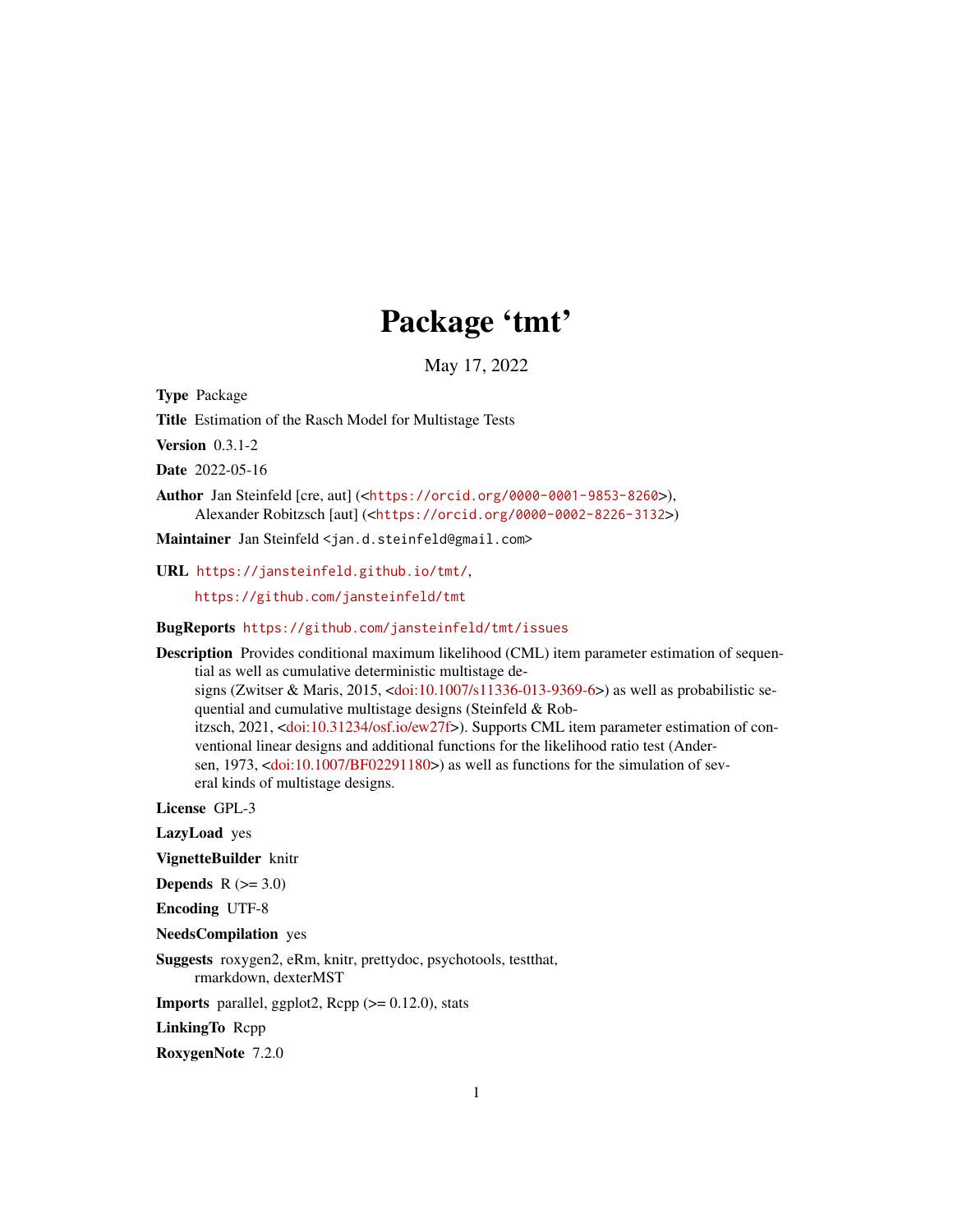## Package 'tmt'

May 17, 2022

Type Package

Title Estimation of the Rasch Model for Multistage Tests

Version 0.3.1-2

Date 2022-05-16

Author Jan Steinfeld [cre, aut] (<<https://orcid.org/0000-0001-9853-8260>>), Alexander Robitzsch [aut] (<<https://orcid.org/0000-0002-8226-3132>>)

Maintainer Jan Steinfeld <jan.d.steinfeld@gmail.com>

URL <https://jansteinfeld.github.io/tmt/>,

<https://github.com/jansteinfeld/tmt>

BugReports <https://github.com/jansteinfeld/tmt/issues>

Description Provides conditional maximum likelihood (CML) item parameter estimation of sequential as well as cumulative deterministic multistage designs (Zwitser & Maris, 2015, [<doi:10.1007/s11336-013-9369-6>](https://doi.org/10.1007/s11336-013-9369-6)) as well as probabilistic sequential and cumulative multistage designs (Steinfeld & Robitzsch, 2021, [<doi:10.31234/osf.io/ew27f>](https://doi.org/10.31234/osf.io/ew27f)). Supports CML item parameter estimation of conventional linear designs and additional functions for the likelihood ratio test (Andersen, 1973, [<doi:10.1007/BF02291180>](https://doi.org/10.1007/BF02291180)) as well as functions for the simulation of several kinds of multistage designs.

License GPL-3

LazyLoad yes

VignetteBuilder knitr

Depends  $R$  ( $>= 3.0$ )

Encoding UTF-8

NeedsCompilation yes

Suggests roxygen2, eRm, knitr, prettydoc, psychotools, testthat, rmarkdown, dexterMST

**Imports** parallel, ggplot2,  $\text{Rcpp}$  ( $>= 0.12.0$ ), stats

LinkingTo Rcpp

RoxygenNote 7.2.0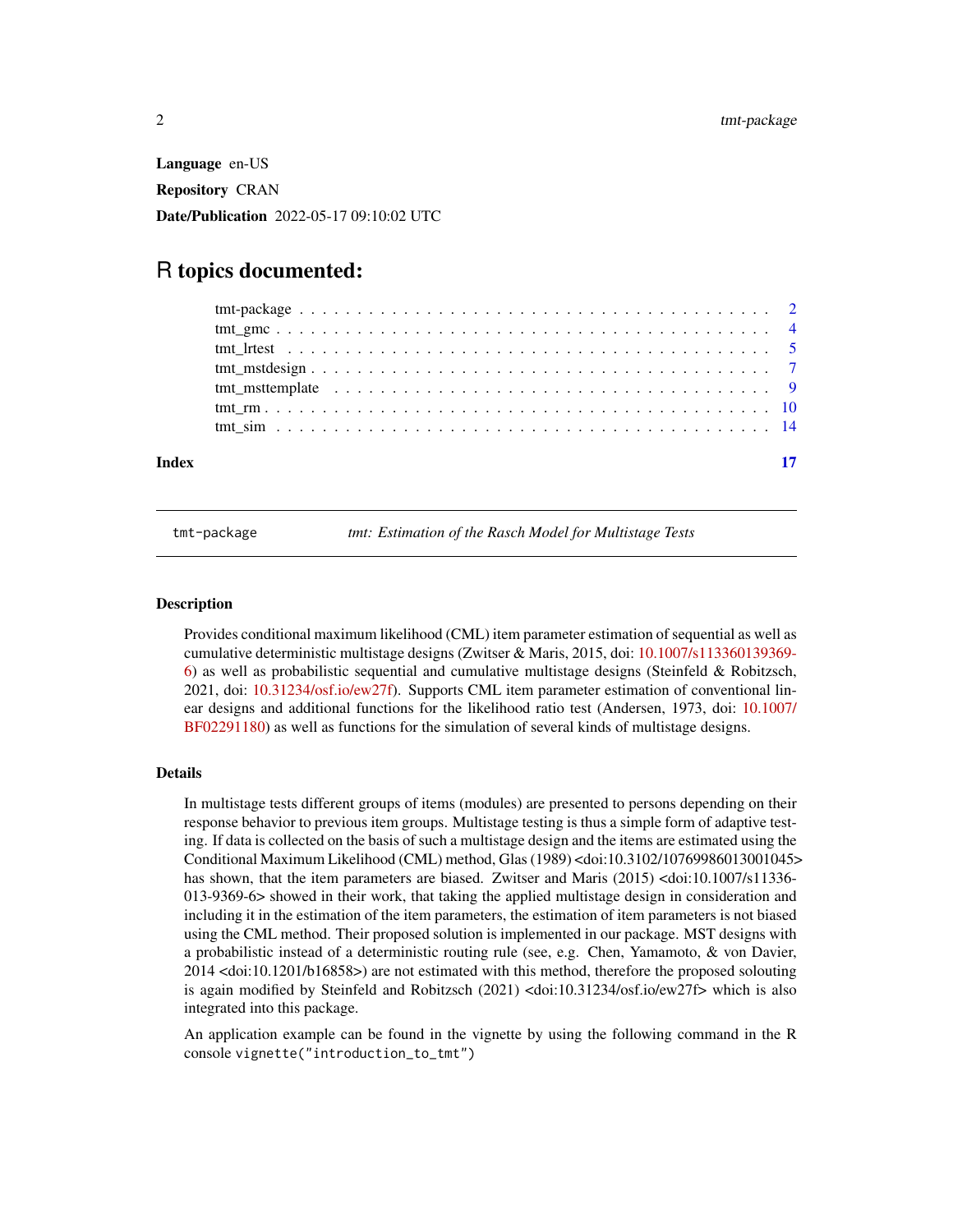<span id="page-1-0"></span>Language en-US Repository CRAN Date/Publication 2022-05-17 09:10:02 UTC

### R topics documented:

| Index | 17 |
|-------|----|
|       |    |
|       |    |
|       |    |
|       |    |
|       |    |
|       |    |
|       |    |

tmt-package *tmt: Estimation of the Rasch Model for Multistage Tests*

#### **Description**

Provides conditional maximum likelihood (CML) item parameter estimation of sequential as well as cumulative deterministic multistage designs (Zwitser & Maris, 2015, doi: [10.1007/s113360139369-](https://doi.org/10.1007/s11336-013-9369-6) [6\)](https://doi.org/10.1007/s11336-013-9369-6) as well as probabilistic sequential and cumulative multistage designs (Steinfeld & Robitzsch, 2021, doi: [10.31234/osf.io/ew27f\)](https://doi.org/10.31234/osf.io/ew27f). Supports CML item parameter estimation of conventional linear designs and additional functions for the likelihood ratio test (Andersen, 1973, doi: [10.1007/](https://doi.org/10.1007/BF02291180) [BF02291180\)](https://doi.org/10.1007/BF02291180) as well as functions for the simulation of several kinds of multistage designs.

#### Details

In multistage tests different groups of items (modules) are presented to persons depending on their response behavior to previous item groups. Multistage testing is thus a simple form of adaptive testing. If data is collected on the basis of such a multistage design and the items are estimated using the Conditional Maximum Likelihood (CML) method, Glas (1989) <doi:10.3102/10769986013001045> has shown, that the item parameters are biased. Zwitser and Maris (2015) <doi:10.1007/s11336- 013-9369-6> showed in their work, that taking the applied multistage design in consideration and including it in the estimation of the item parameters, the estimation of item parameters is not biased using the CML method. Their proposed solution is implemented in our package. MST designs with a probabilistic instead of a deterministic routing rule (see, e.g. Chen, Yamamoto, & von Davier, 2014 <doi:10.1201/b16858>) are not estimated with this method, therefore the proposed solouting is again modified by Steinfeld and Robitzsch (2021) <doi:10.31234/osf.io/ew27f> which is also integrated into this package.

An application example can be found in the vignette by using the following command in the R console vignette("introduction\_to\_tmt")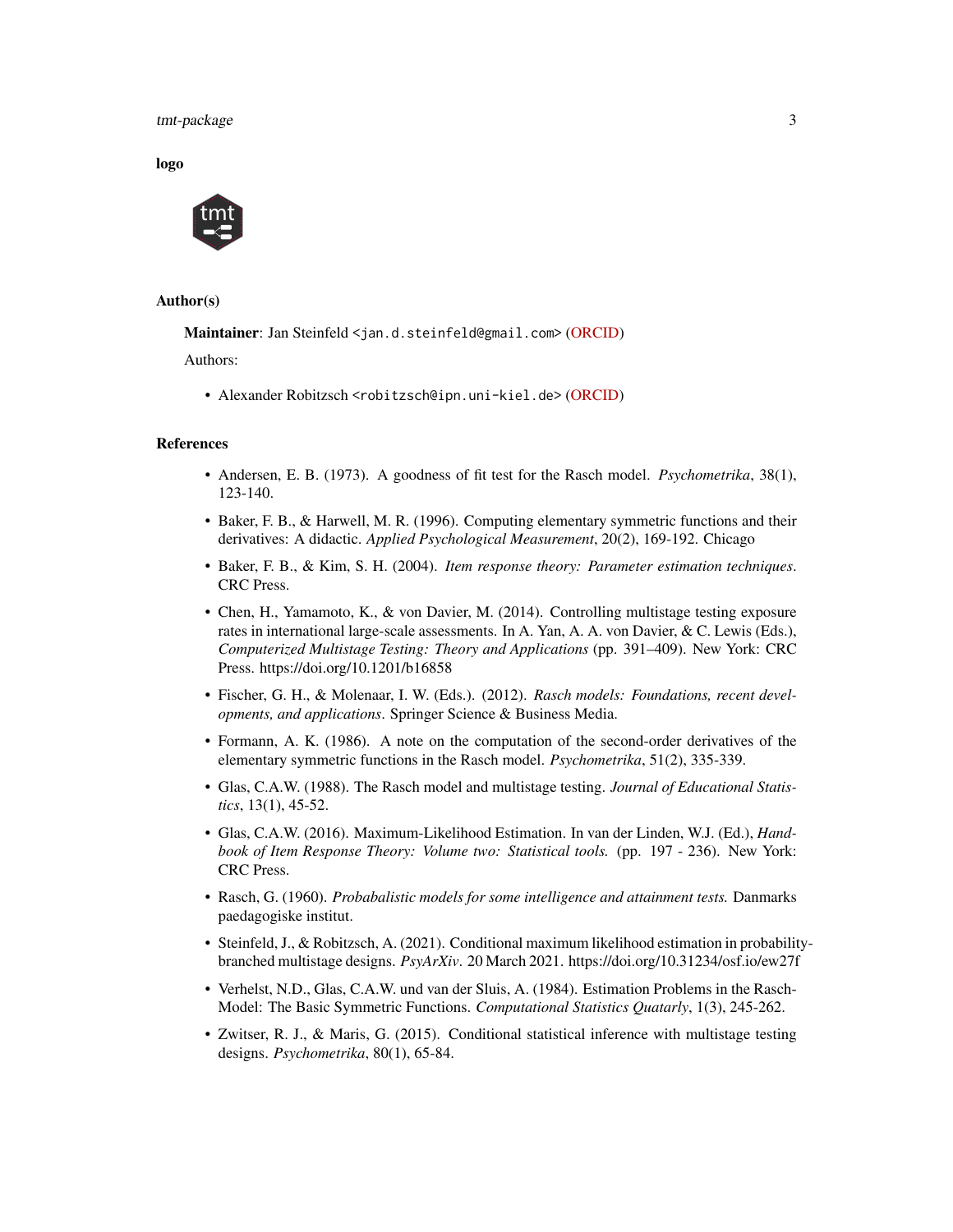#### tmt-package 3

logo



#### Author(s)

Maintainer: Jan Steinfeld <jan.d.steinfeld@gmail.com> [\(ORCID\)](https://orcid.org/0000-0001-9853-8260)

Authors:

• Alexander Robitzsch <robitzsch@ipn.uni-kiel.de> [\(ORCID\)](https://orcid.org/0000-0002-8226-3132)

#### References

- Andersen, E. B. (1973). A goodness of fit test for the Rasch model. *Psychometrika*, 38(1), 123-140.
- Baker, F. B., & Harwell, M. R. (1996). Computing elementary symmetric functions and their derivatives: A didactic. *Applied Psychological Measurement*, 20(2), 169-192. Chicago
- Baker, F. B., & Kim, S. H. (2004). *Item response theory: Parameter estimation techniques*. CRC Press.
- Chen, H., Yamamoto, K., & von Davier, M. (2014). Controlling multistage testing exposure rates in international large-scale assessments. In A. Yan, A. A. von Davier, & C. Lewis (Eds.), *Computerized Multistage Testing: Theory and Applications* (pp. 391–409). New York: CRC Press. https://doi.org/10.1201/b16858
- Fischer, G. H., & Molenaar, I. W. (Eds.). (2012). *Rasch models: Foundations, recent developments, and applications*. Springer Science & Business Media.
- Formann, A. K. (1986). A note on the computation of the second-order derivatives of the elementary symmetric functions in the Rasch model. *Psychometrika*, 51(2), 335-339.
- Glas, C.A.W. (1988). The Rasch model and multistage testing. *Journal of Educational Statistics*, 13(1), 45-52.
- Glas, C.A.W. (2016). Maximum-Likelihood Estimation. In van der Linden, W.J. (Ed.), *Handbook of Item Response Theory: Volume two: Statistical tools.* (pp. 197 - 236). New York: CRC Press.
- Rasch, G. (1960). *Probabalistic models for some intelligence and attainment tests.* Danmarks paedagogiske institut.
- Steinfeld, J., & Robitzsch, A. (2021). Conditional maximum likelihood estimation in probabilitybranched multistage designs. *PsyArXiv*. 20 March 2021. https://doi.org/10.31234/osf.io/ew27f
- Verhelst, N.D., Glas, C.A.W. und van der Sluis, A. (1984). Estimation Problems in the Rasch-Model: The Basic Symmetric Functions. *Computational Statistics Quatarly*, 1(3), 245-262.
- Zwitser, R. J., & Maris, G. (2015). Conditional statistical inference with multistage testing designs. *Psychometrika*, 80(1), 65-84.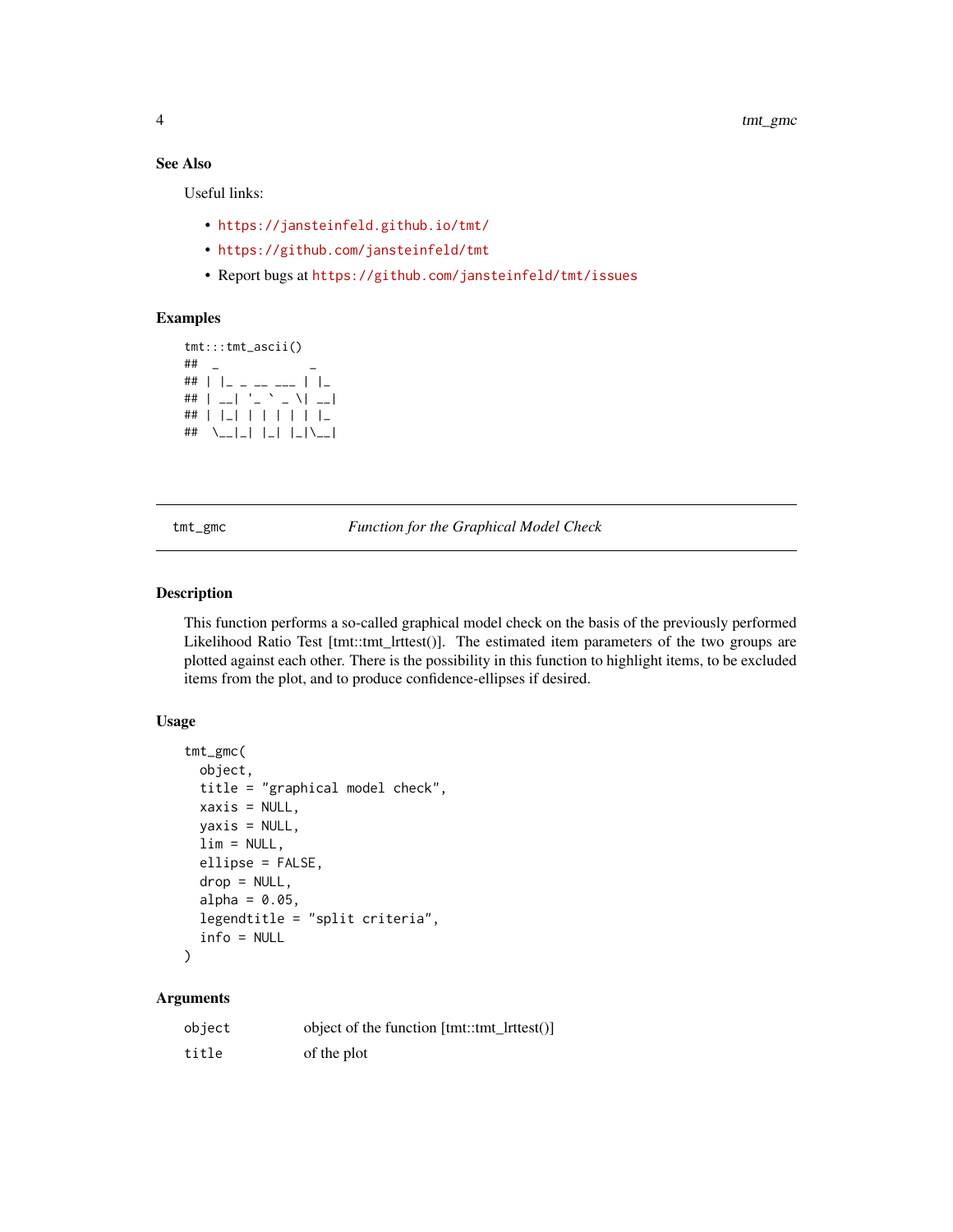#### See Also

Useful links:

- <https://jansteinfeld.github.io/tmt/>
- <https://github.com/jansteinfeld/tmt>
- Report bugs at <https://github.com/jansteinfeld/tmt/issues>

#### Examples

```
tmt:::tmt_ascii()
## _ _
## | |_ _ __ ___ | |_
## | - | - | - \sim \sqrt{2}## | |_| | | | | | |_
## \__|_| |_| |_|\__|
```
tmt\_gmc *Function for the Graphical Model Check*

#### Description

This function performs a so-called graphical model check on the basis of the previously performed Likelihood Ratio Test [tmt::tmt\_lrttest()]. The estimated item parameters of the two groups are plotted against each other. There is the possibility in this function to highlight items, to be excluded items from the plot, and to produce confidence-ellipses if desired.

#### Usage

```
tmt_gmc(
 object,
  title = "graphical model check",
 xaxis = NULL,yaxis = NULL,
 \lim = NULL,
  ellipse = FALSE,
  drop = NULL,alpha = 0.05,
  legendtitle = "split criteria",
  info = NULL
)
```
#### Arguments

| object | object of the function [tmt::tmt ]rttest()] |
|--------|---------------------------------------------|
| title  | of the plot                                 |

<span id="page-3-0"></span>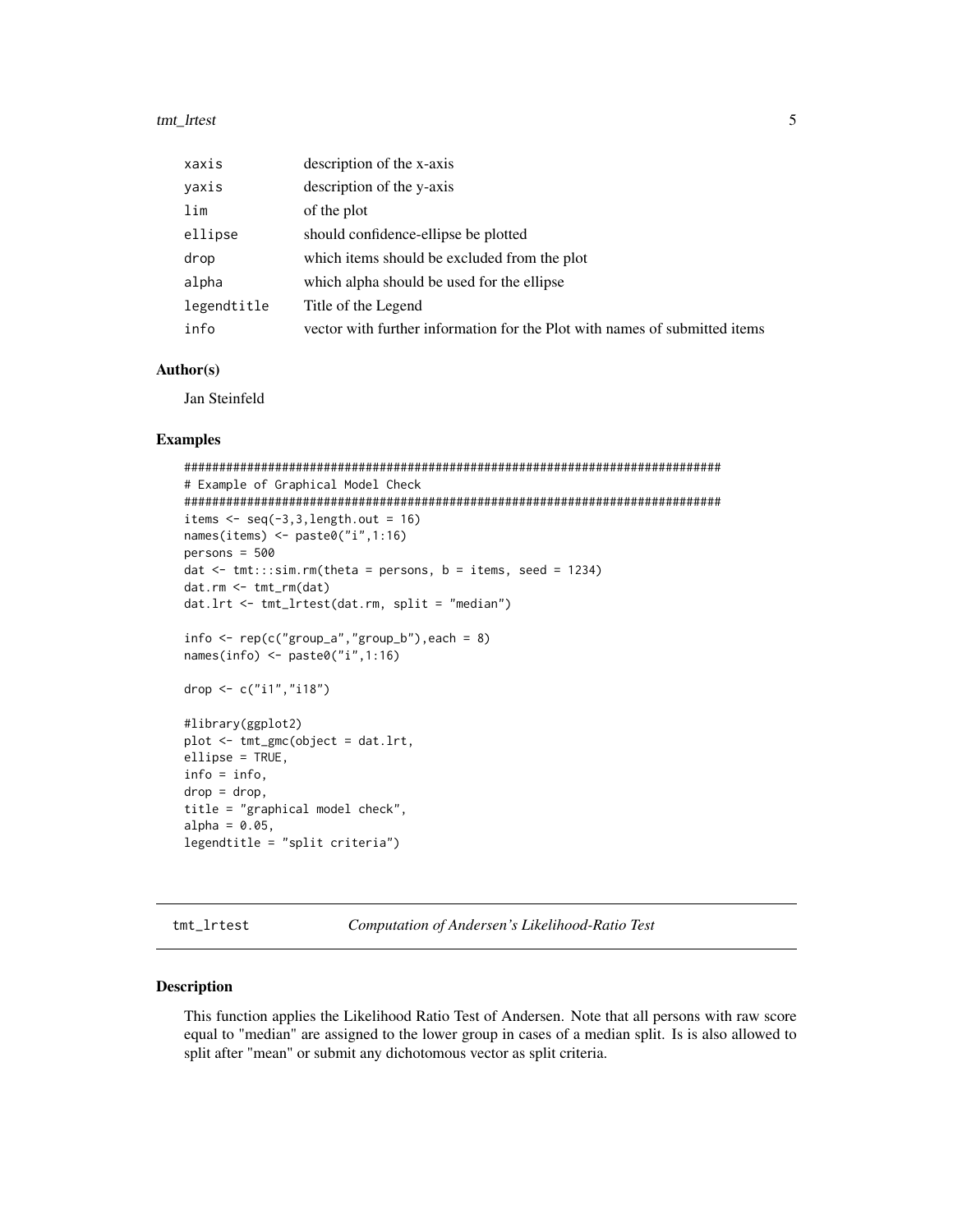#### <span id="page-4-0"></span>tmt\_lrtest 5

| xaxis       | description of the x-axis                                                  |
|-------------|----------------------------------------------------------------------------|
| yaxis       | description of the y-axis                                                  |
| lim         | of the plot                                                                |
| ellipse     | should confidence-ellipse be plotted                                       |
| drop        | which items should be excluded from the plot                               |
| alpha       | which alpha should be used for the ellipse                                 |
| legendtitle | Title of the Legend                                                        |
| info        | vector with further information for the Plot with names of submitted items |

#### Author(s)

Jan Steinfeld

#### Examples

```
#############################################################################
# Example of Graphical Model Check
#############################################################################
items \leq seq(-3,3,length.out = 16)
names(items) <- paste0("i",1:16)
persons = 500
dat \le tmt:::sim.rm(theta = persons, b = items, seed = 1234)
dat.rm <- tmt_rm(dat)
dat.lrt <- tmt_lrtest(dat.rm, split = "median")
info \leftarrow rep(c("group_a", "group_b"), each = 8)names(info) <- paste0("i",1:16)
drop <- c("i1","i18")
#library(ggplot2)
plot <- tmt_gmc(object = dat.lrt,
ellipse = TRUE,
info = info,
drop = drop,
title = "graphical model check",
alpha = 0.05,
legendtitle = "split criteria")
```
<span id="page-4-1"></span>tmt\_lrtest *Computation of Andersen's Likelihood-Ratio Test*

#### Description

This function applies the Likelihood Ratio Test of Andersen. Note that all persons with raw score equal to "median" are assigned to the lower group in cases of a median split. Is is also allowed to split after "mean" or submit any dichotomous vector as split criteria.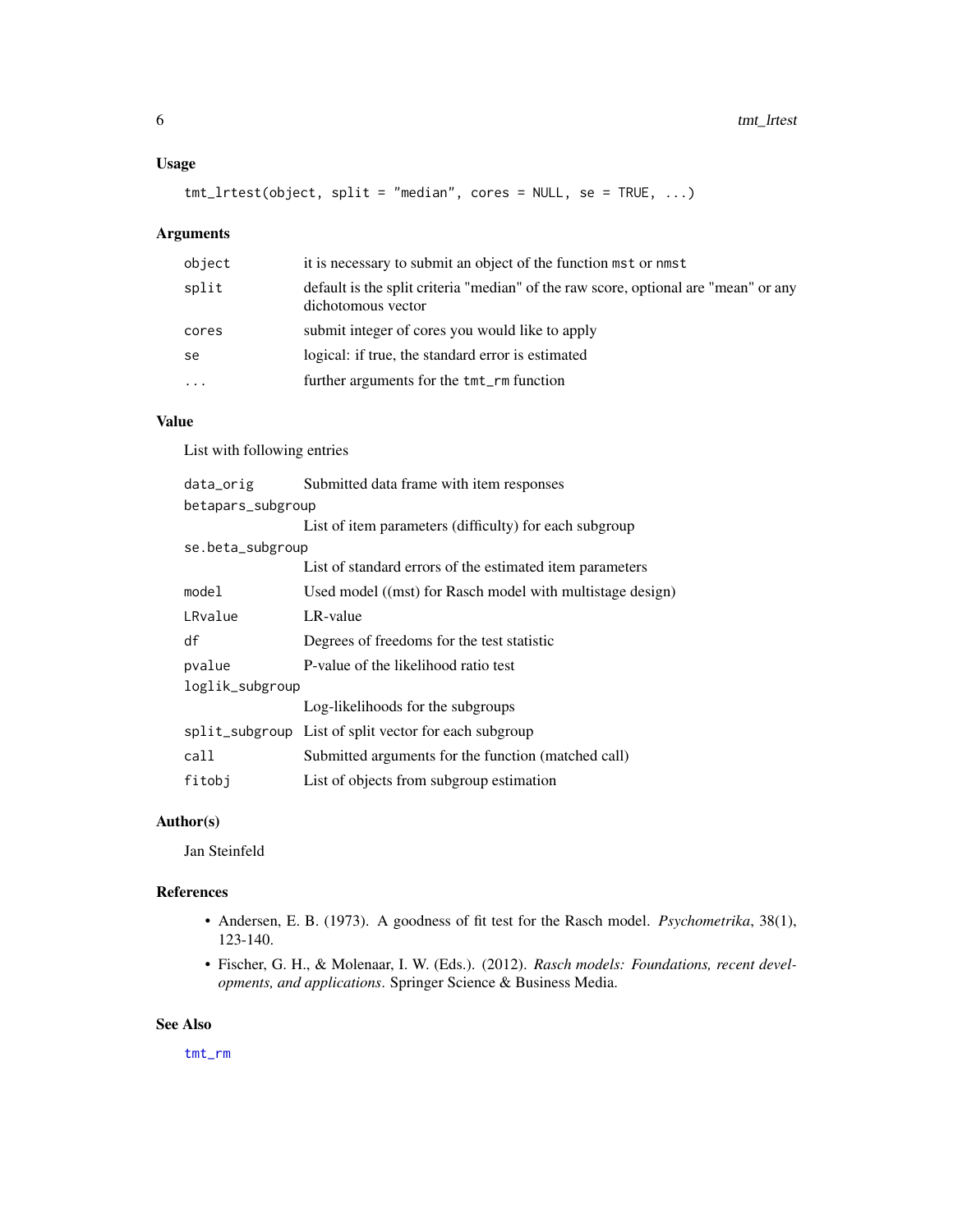#### <span id="page-5-0"></span>Usage

tmt\_lrtest(object, split = "median", cores = NULL, se = TRUE, ...)

#### Arguments

| object    | it is necessary to submit an object of the function mst or nmst                                           |
|-----------|-----------------------------------------------------------------------------------------------------------|
| split     | default is the split criteria "median" of the raw score, optional are "mean" or any<br>dichotomous vector |
| cores     | submit integer of cores you would like to apply                                                           |
| se        | logical: if true, the standard error is estimated                                                         |
| $\ddotsc$ | further arguments for the tmt_rm function                                                                 |

#### Value

List with following entries

| data_orig         | Submitted data frame with item responses                  |
|-------------------|-----------------------------------------------------------|
| betapars_subgroup |                                                           |
|                   | List of item parameters (difficulty) for each subgroup    |
| se.beta_subgroup  |                                                           |
|                   | List of standard errors of the estimated item parameters  |
| model             | Used model ((mst) for Rasch model with multistage design) |
| LRvalue           | LR-value                                                  |
| df                | Degrees of freedoms for the test statistic                |
| pvalue            | P-value of the likelihood ratio test                      |
| loglik_subgroup   |                                                           |
|                   | Log-likelihoods for the subgroups                         |
|                   | split_subgroup List of split vector for each subgroup     |
| call              | Submitted arguments for the function (matched call)       |
| fitobi            | List of objects from subgroup estimation                  |

#### Author(s)

Jan Steinfeld

#### References

- Andersen, E. B. (1973). A goodness of fit test for the Rasch model. *Psychometrika*, 38(1), 123-140.
- Fischer, G. H., & Molenaar, I. W. (Eds.). (2012). *Rasch models: Foundations, recent developments, and applications*. Springer Science & Business Media.

#### See Also

[tmt\\_rm](#page-9-1)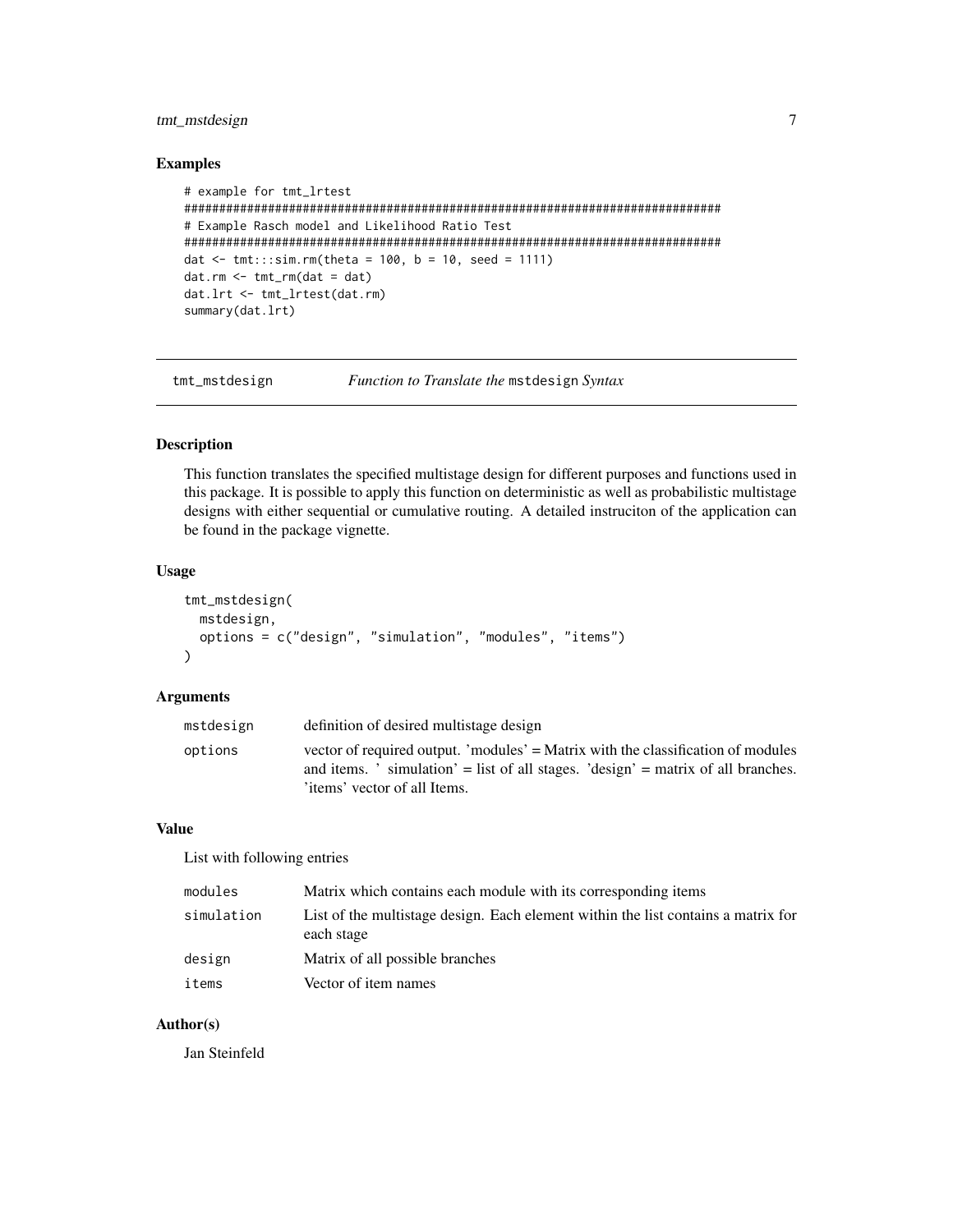#### <span id="page-6-0"></span>tmt\_mstdesign 7

#### Examples

```
# example for tmt_lrtest
#############################################################################
# Example Rasch model and Likelihood Ratio Test
#############################################################################
dat \le- tmt:::sim.rm(theta = 100, b = 10, seed = 1111)
dat.rm < - trm(rm(data = dat)dat.lrt <- tmt_lrtest(dat.rm)
summary(dat.lrt)
```
tmt\_mstdesign *Function to Translate the* mstdesign *Syntax*

#### Description

This function translates the specified multistage design for different purposes and functions used in this package. It is possible to apply this function on deterministic as well as probabilistic multistage designs with either sequential or cumulative routing. A detailed instruciton of the application can be found in the package vignette.

#### Usage

```
tmt_mstdesign(
 mstdesign,
  options = c("design", "simulation", "modules", "items")
\lambda
```
#### Arguments

| mstdesign | definition of desired multistage design                                                                                                                                                                                                  |
|-----------|------------------------------------------------------------------------------------------------------------------------------------------------------------------------------------------------------------------------------------------|
| options   | vector of required output. 'modules' = Matrix with the classification of modules<br>and items. $\dot{\ }$ simulation $\dot{ }$ = list of all stages. $\dot{ }$ design $\dot{ }$ = matrix of all branches.<br>items' vector of all Items. |
|           |                                                                                                                                                                                                                                          |

#### Value

List with following entries

| modules    | Matrix which contains each module with its corresponding items                                  |
|------------|-------------------------------------------------------------------------------------------------|
| simulation | List of the multistage design. Each element within the list contains a matrix for<br>each stage |
| design     | Matrix of all possible branches                                                                 |
| items      | Vector of item names                                                                            |

#### Author(s)

Jan Steinfeld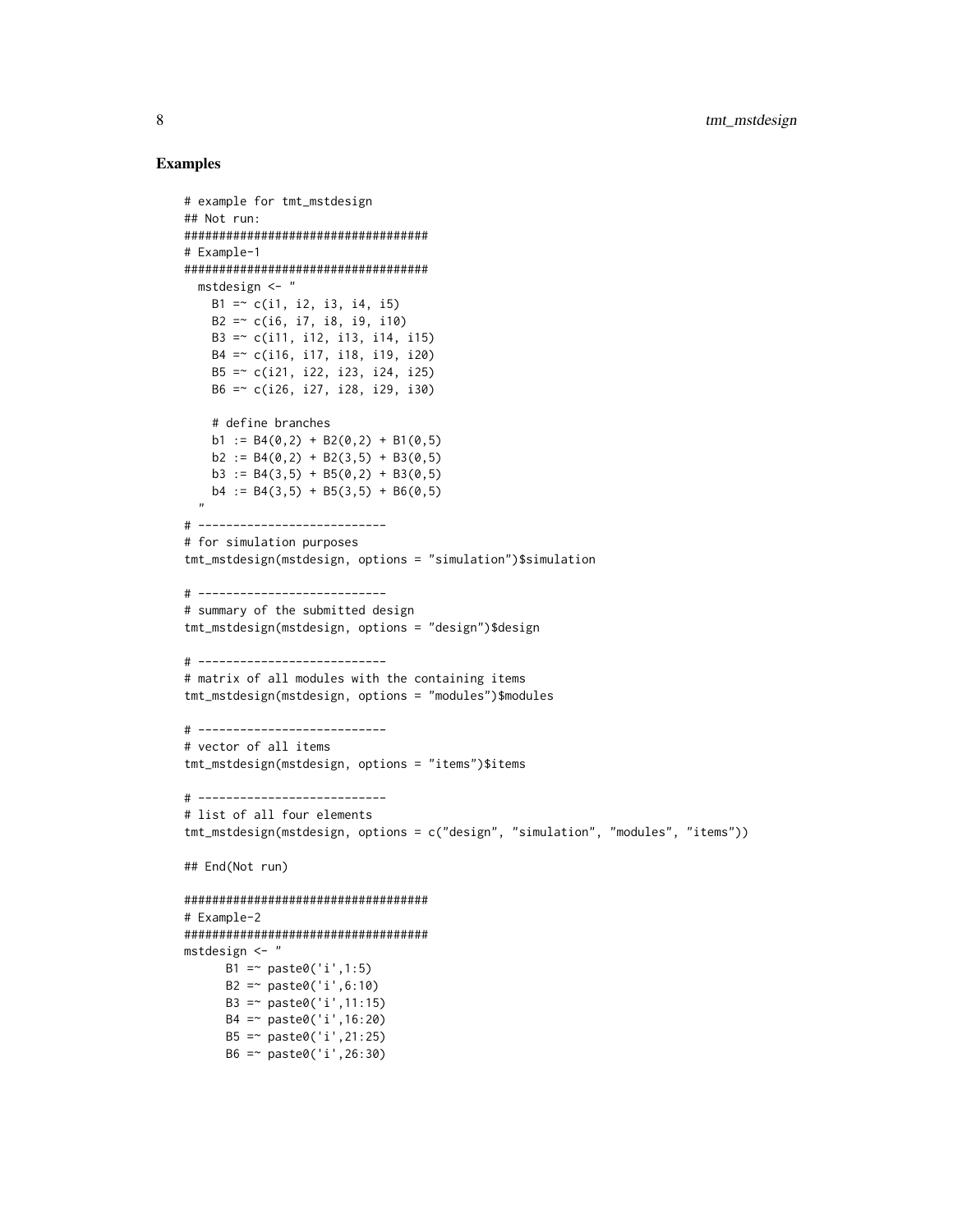```
# example for tmt_mstdesign
## Not run:
###################################
# Example-1
###################################
  mstdesign <- "
   B1 = c(i1, i2, i3, i4, i5)B2 =~ c(i6, i7, i8, i9, i10)
   B3 =~ c(i11, i12, i13, i14, i15)
   B4 =~ c(i16, i17, i18, i19, i20)
   B5 =~ c(i21, i22, i23, i24, i25)
   B6 =~ c(i26, i27, i28, i29, i30)
   # define branches
   b1 := B4(0,2) + B2(0,2) + B1(0,5)b2 := B4(0,2) + B2(3,5) + B3(0,5)b3 := B4(3,5) + B5(0,2) + B3(0,5)b4 := B4(3,5) + B5(3,5) + B6(0,5)"
# ---------------------------
# for simulation purposes
tmt_mstdesign(mstdesign, options = "simulation")$simulation
# ---------------------------
# summary of the submitted design
tmt_mstdesign(mstdesign, options = "design")$design
# ---------------------------
# matrix of all modules with the containing items
tmt_mstdesign(mstdesign, options = "modules")$modules
# ---------------------------
# vector of all items
tmt_mstdesign(mstdesign, options = "items")$items
# ---------------------------
# list of all four elements
tmt_mstdesign(mstdesign, options = c("design", "simulation", "modules", "items"))
## End(Not run)
###################################
# Example-2
###################################
mstdesign <- "
     B1 = \sim paste0('i', 1:5)
      B2 = \infty paste0('i',6:10)
     B3 =~ paste0('i',11:15)
     B4 =~ paste0('i',16:20)
     B5 =~ paste0('i',21:25)
      B6 =~ paste0('i',26:30)
```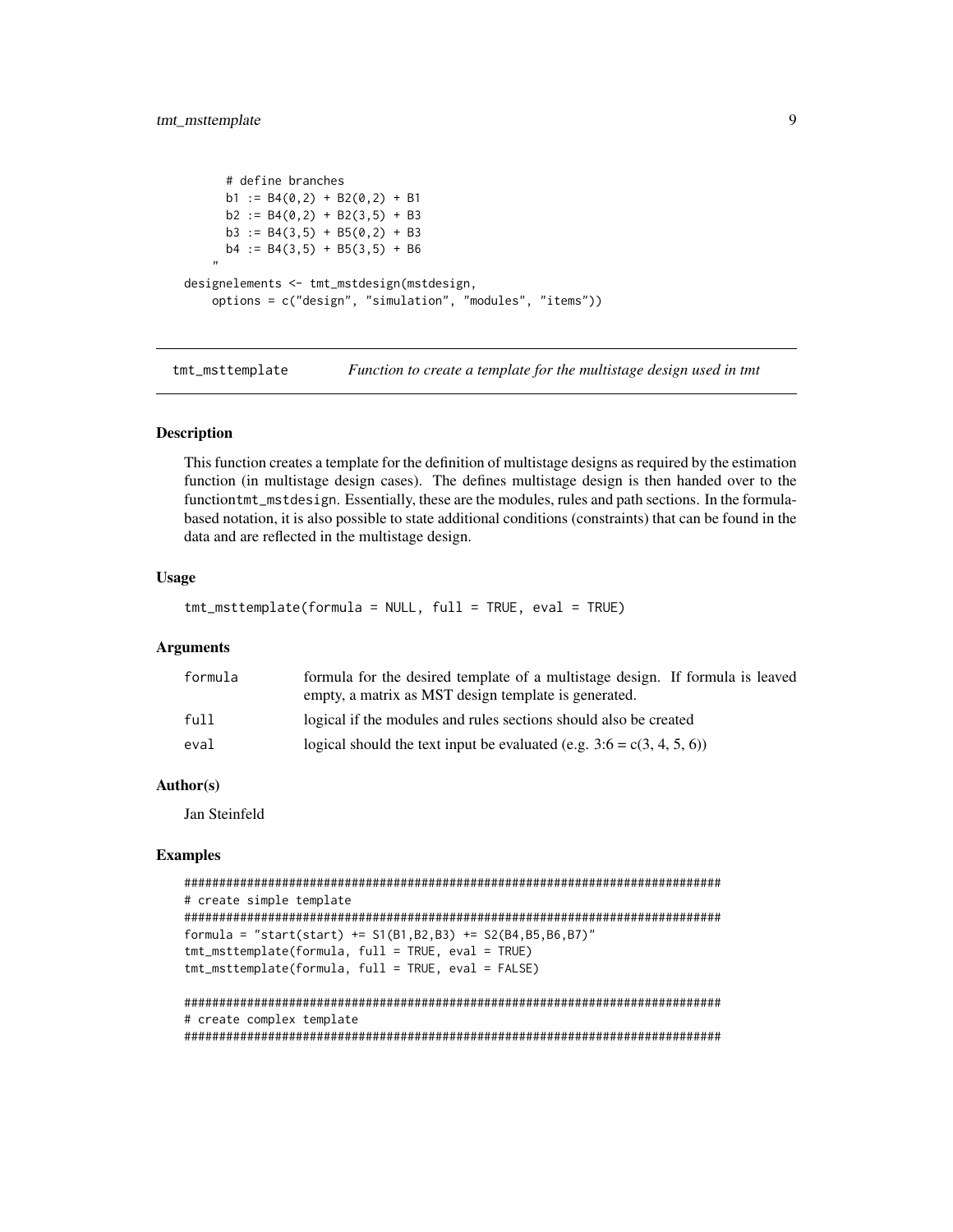```
# define branches
     b1 := B4(0,2) + B2(0,2) + B1b2 := B4(0,2) + B2(3,5) + B3b3 := B4(3,5) + B5(0,2) + B3b4 := B4(3,5) + B5(3,5) + B6"
designelements <- tmt_mstdesign(mstdesign,
    options = c("design", "simulation", "modules", "items"))
```
tmt\_msttemplate *Function to create a template for the multistage design used in tmt*

#### Description

This function creates a template for the definition of multistage designs as required by the estimation function (in multistage design cases). The defines multistage design is then handed over to the functiontmt\_mstdesign. Essentially, these are the modules, rules and path sections. In the formulabased notation, it is also possible to state additional conditions (constraints) that can be found in the data and are reflected in the multistage design.

#### Usage

```
tmt_msttemplate(formula = NULL, full = TRUE, eval = TRUE)
```
#### Arguments

| formula | formula for the desired template of a multistage design. If formula is leaved |
|---------|-------------------------------------------------------------------------------|
|         | empty, a matrix as MST design template is generated.                          |
| full    | logical if the modules and rules sections should also be created              |
| eval    | logical should the text input be evaluated (e.g. $3:6 = c(3, 4, 5, 6)$ )      |

#### Author(s)

Jan Steinfeld

```
#############################################################################
# create simple template
#############################################################################
formula = "start(start) += S1(B1, B2, B3) += S2(B4, B5, B6, B7)"
tmt_msttemplate(formula, full = TRUE, eval = TRUE)
tmt_msttemplate(formula, full = TRUE, eval = FALSE)
#############################################################################
# create complex template
#############################################################################
```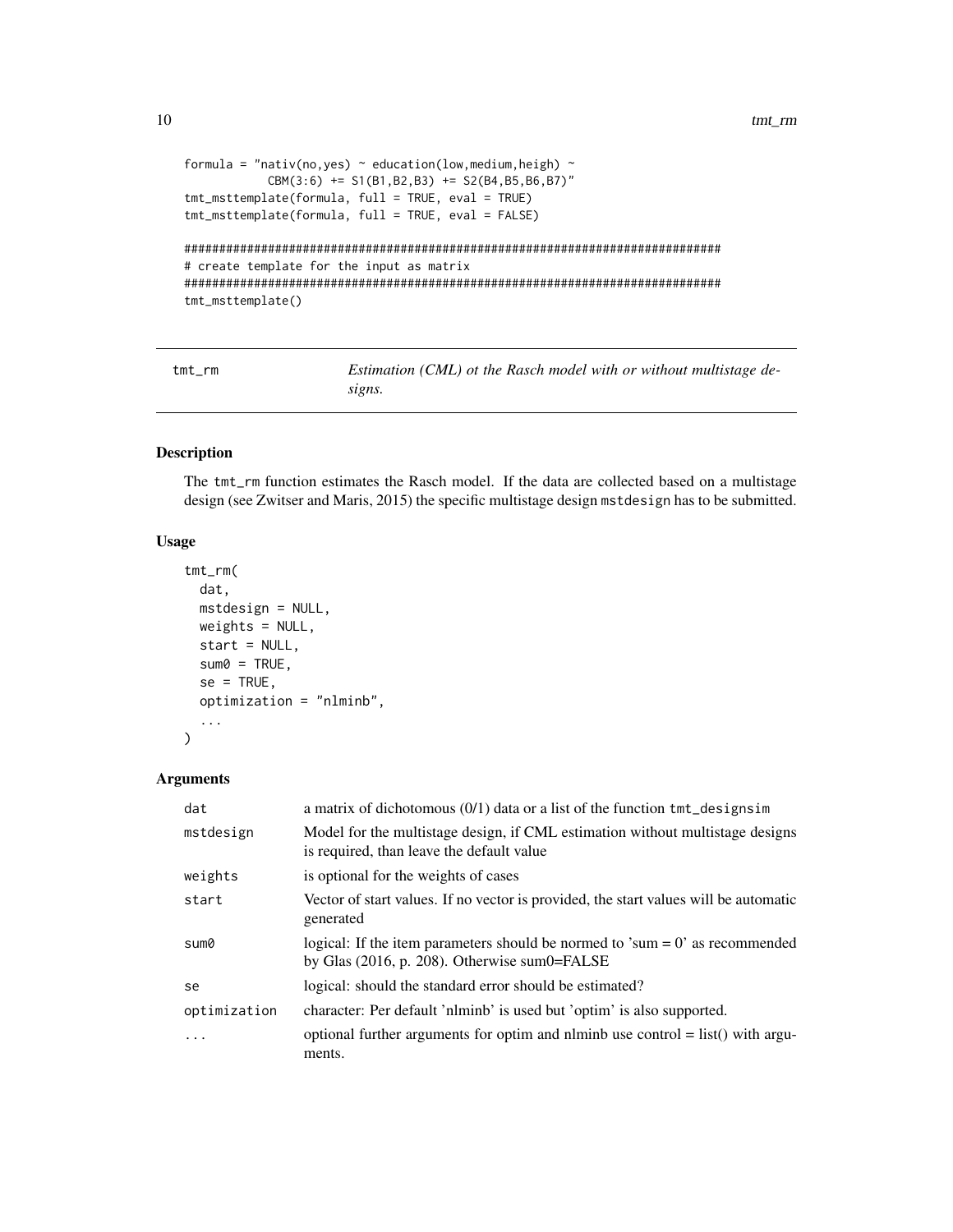```
formula = "nativ(no,yes) \sim education(low, medium, heigh) \simCBM(3:6) += SI(B1,B2,B3) += SI(B4,B5,B6,B7)"
tmt_msttemplate(formula, full = TRUE, eval = TRUE)
tmt_msttemplate(formula, full = TRUE, eval = FALSE)
```

```
#############################################################################
# create template for the input as matrix
#############################################################################
tmt_msttemplate()
```
<span id="page-9-1"></span>tmt\_rm *Estimation (CML) ot the Rasch model with or without multistage designs.*

#### Description

The tmt\_rm function estimates the Rasch model. If the data are collected based on a multistage design (see Zwitser and Maris, 2015) the specific multistage design mstdesign has to be submitted.

#### Usage

```
tmt_rm(
 dat,
  mstdesign = NULL,
 weights = NULL,
 start = NULL,
  sum@ = TRUE,se = TRUE,optimization = "nlminb",
  ...
)
```
#### Arguments

| dat          | a matrix of dichotomous $(0/1)$ data or a list of the function $tmt$ designs im                                                    |
|--------------|------------------------------------------------------------------------------------------------------------------------------------|
| mstdesign    | Model for the multistage design, if CML estimation without multistage designs<br>is required, than leave the default value         |
| weights      | is optional for the weights of cases                                                                                               |
| start        | Vector of start values. If no vector is provided, the start values will be automatic<br>generated                                  |
| sum0         | logical: If the item parameters should be normed to 'sum $= 0$ ' as recommended<br>by Glas $(2016, p. 208)$ . Otherwise sum0=FALSE |
| se           | logical: should the standard error should be estimated?                                                                            |
| optimization | character: Per default 'nlminb' is used but 'optim' is also supported.                                                             |
| .            | optional further arguments for optim and nlminb use control $=$ list() with argu-<br>ments.                                        |

<span id="page-9-0"></span>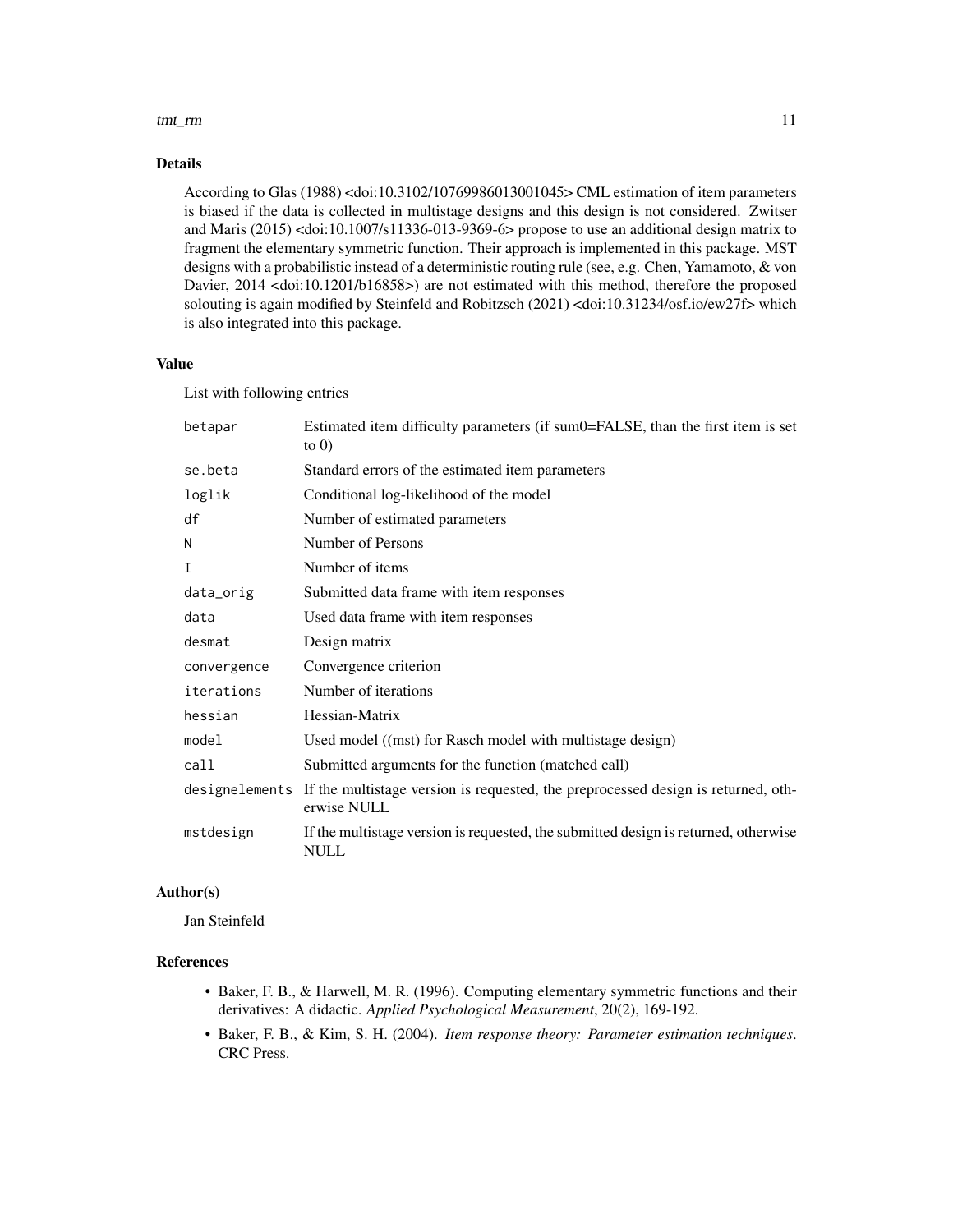#### tmt\_rm 11

#### Details

According to Glas (1988) <doi:10.3102/10769986013001045> CML estimation of item parameters is biased if the data is collected in multistage designs and this design is not considered. Zwitser and Maris (2015) <doi:10.1007/s11336-013-9369-6> propose to use an additional design matrix to fragment the elementary symmetric function. Their approach is implemented in this package. MST designs with a probabilistic instead of a deterministic routing rule (see, e.g. Chen, Yamamoto, & von Davier, 2014 <doi:10.1201/b16858>) are not estimated with this method, therefore the proposed solouting is again modified by Steinfeld and Robitzsch (2021) <doi:10.31234/osf.io/ew27f> which is also integrated into this package.

#### Value

List with following entries

| betapar     | Estimated item difficulty parameters (if sum0=FALSE, than the first item is set<br>to $0$ )                     |
|-------------|-----------------------------------------------------------------------------------------------------------------|
| se.beta     | Standard errors of the estimated item parameters                                                                |
| loglik      | Conditional log-likelihood of the model                                                                         |
| df          | Number of estimated parameters                                                                                  |
| N           | Number of Persons                                                                                               |
| I           | Number of items                                                                                                 |
| data_orig   | Submitted data frame with item responses                                                                        |
| data        | Used data frame with item responses                                                                             |
| desmat      | Design matrix                                                                                                   |
| convergence | Convergence criterion                                                                                           |
| iterations  | Number of iterations                                                                                            |
| hessian     | Hessian-Matrix                                                                                                  |
| model       | Used model ((mst) for Rasch model with multistage design)                                                       |
| call        | Submitted arguments for the function (matched call)                                                             |
|             | designelements If the multistage version is requested, the preprocessed design is returned, oth-<br>erwise NULL |
| mstdesign   | If the multistage version is requested, the submitted design is returned, otherwise<br>NULL                     |

#### Author(s)

Jan Steinfeld

#### References

- Baker, F. B., & Harwell, M. R. (1996). Computing elementary symmetric functions and their derivatives: A didactic. *Applied Psychological Measurement*, 20(2), 169-192.
- Baker, F. B., & Kim, S. H. (2004). *Item response theory: Parameter estimation techniques*. CRC Press.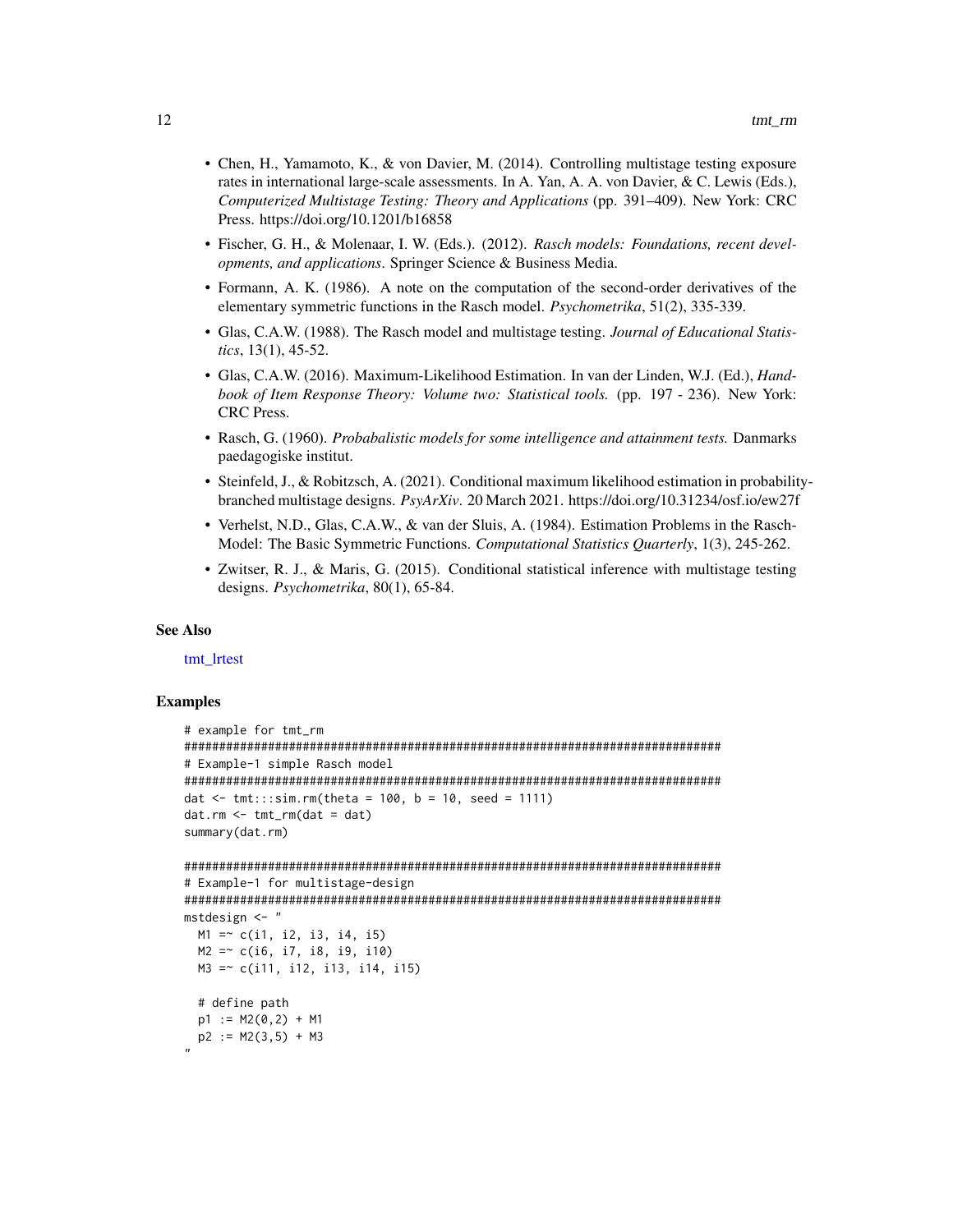- <span id="page-11-0"></span>• Chen, H., Yamamoto, K., & von Davier, M. (2014). Controlling multistage testing exposure rates in international large-scale assessments. In A. Yan, A. A. von Davier, & C. Lewis (Eds.), *Computerized Multistage Testing: Theory and Applications* (pp. 391–409). New York: CRC Press. https://doi.org/10.1201/b16858
- Fischer, G. H., & Molenaar, I. W. (Eds.). (2012). *Rasch models: Foundations, recent developments, and applications*. Springer Science & Business Media.
- Formann, A. K. (1986). A note on the computation of the second-order derivatives of the elementary symmetric functions in the Rasch model. *Psychometrika*, 51(2), 335-339.
- Glas, C.A.W. (1988). The Rasch model and multistage testing. *Journal of Educational Statistics*, 13(1), 45-52.
- Glas, C.A.W. (2016). Maximum-Likelihood Estimation. In van der Linden, W.J. (Ed.), *Handbook of Item Response Theory: Volume two: Statistical tools.* (pp. 197 - 236). New York: CRC Press.
- Rasch, G. (1960). *Probabalistic models for some intelligence and attainment tests.* Danmarks paedagogiske institut.
- Steinfeld, J., & Robitzsch, A. (2021). Conditional maximum likelihood estimation in probabilitybranched multistage designs. *PsyArXiv*. 20 March 2021. https://doi.org/10.31234/osf.io/ew27f
- Verhelst, N.D., Glas, C.A.W., & van der Sluis, A. (1984). Estimation Problems in the Rasch-Model: The Basic Symmetric Functions. *Computational Statistics Quarterly*, 1(3), 245-262.
- Zwitser, R. J., & Maris, G. (2015). Conditional statistical inference with multistage testing designs. *Psychometrika*, 80(1), 65-84.

#### See Also

[tmt\\_lrtest](#page-4-1)

```
# example for tmt_rm
#############################################################################
# Example-1 simple Rasch model
#############################################################################
dat \le tmt:::sim.rm(theta = 100, b = 10, seed = 1111)
dat.rm < -trut\_rm(data = dat)summary(dat.rm)
#############################################################################
# Example-1 for multistage-design
#############################################################################
mstdesign <- "
 M1 = c(i1, i2, i3, i4, i5)M2 =~ c(i6, i7, i8, i9, i10)
 M3 =~ c(i11, i12, i13, i14, i15)
 # define path
 p1 := M2(0, 2) + M1p2 := M2(3,5) + M3"
```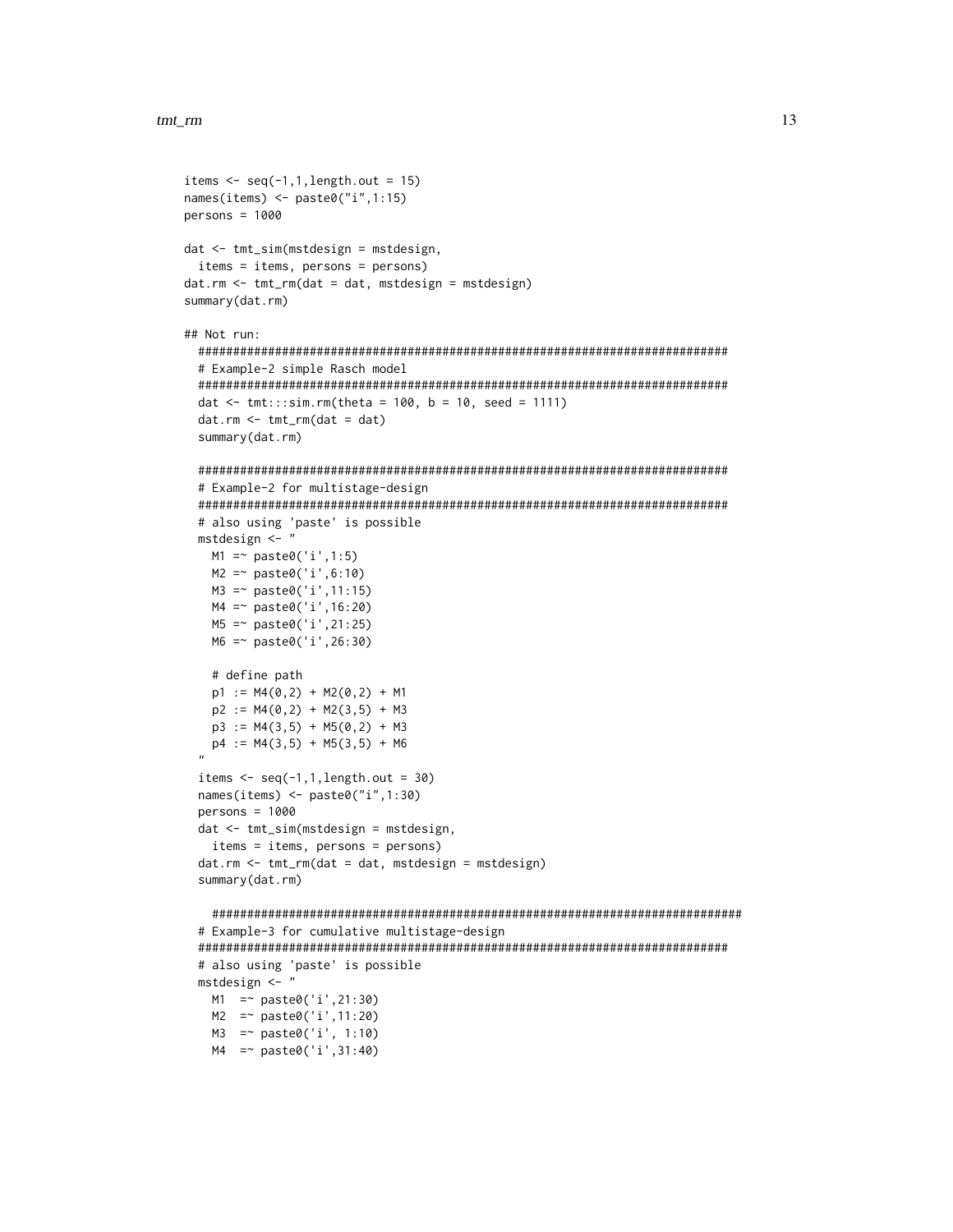```
items \leq seq(-1,1, length.out = 15)
names(items) <- paste0("i",1:15)
persons = 1000dat <- tmt_sim(mstdesign = mstdesign,
  items = items, persons = persons)
dat.rm <- tmt_rm(dat = dat, mstdesign = mstdesign)
summary(dat.rm)
## Not run:
  ############################################################################
  # Example-2 simple Rasch model
  ############################################################################
  dat \le tmt:::sim.rm(theta = 100, b = 10, seed = 1111)
  dat.rm <- tmt_rm(dat = dat)
  summary(dat.rm)
  ############################################################################
  # Example-2 for multistage-design
  ############################################################################
  # also using 'paste' is possible
  mstdesign <- "
   M1 = \infty paste0('i',1:5)
   M2 =~ paste0('i',6:10)
   M3 =~ paste0('i',11:15)
   M4 =~ paste0('i',16:20)
   M5 =~ paste0('i',21:25)
   M6 =~ paste0('i',26:30)
    # define path
   p1 := M4(0,2) + M2(0,2) + M1p2 := M4(0,2) + M2(3,5) + M3p3 := M4(3,5) + M5(0,2) + M3p4 := M4(3,5) + M5(3,5) + M6"
  items \leq seq(-1,1,length.out = 30)
  names(items) <- paste0("i",1:30)
  persons = 1000
  dat <- tmt_sim(mstdesign = mstdesign,
    items = items, persons = persons)
  dat.rm <- tmt_rm(dat = dat, mstdesign = mstdesign)
  summary(dat.rm)
    ############################################################################
  # Example-3 for cumulative multistage-design
  ############################################################################
  # also using 'paste' is possible
  mstdesign <- "
   M1 =~ paste0('i',21:30)
   M2 =~ paste0('i',11:20)
   M3 =~ paste0('i', 1:10)
   M4 =~ paste0('i',31:40)
```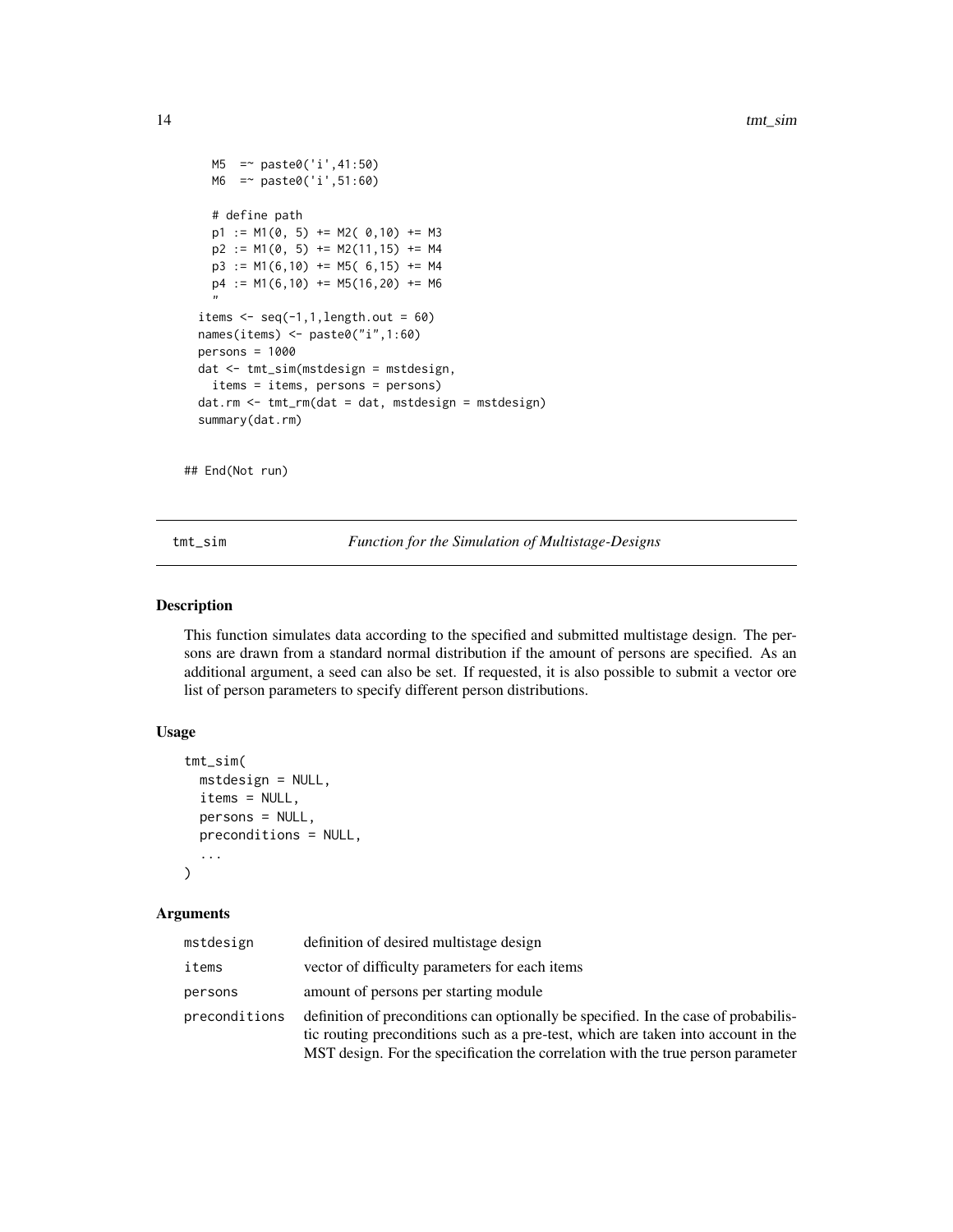```
M5 =~ paste0('i',41:50)
 M6 =~ paste0('i',51:60)
  # define path
 p1 := M1(0, 5) += M2(0, 10) += M3p2 := M1(0, 5) += M2(11, 15) += M4p3 := M1(6,10) += M5(6,15) += M4p4 := M1(6,10) += M5(16,20) += M6"
items \leq seq(-1,1, length.out = 60)
names(items) <- paste0("i",1:60)
persons = 1000
dat <- tmt_sim(mstdesign = mstdesign,
  items = items, persons = persons)
dat.rm <- tmt_rm(dat = dat, mstdesign = mstdesign)
summary(dat.rm)
```
## End(Not run)

tmt\_sim *Function for the Simulation of Multistage-Designs*

#### Description

This function simulates data according to the specified and submitted multistage design. The persons are drawn from a standard normal distribution if the amount of persons are specified. As an additional argument, a seed can also be set. If requested, it is also possible to submit a vector ore list of person parameters to specify different person distributions.

#### Usage

```
tmt_sim(
 mstdesign = NULL,
 items = NULL,
  persons = NULL,
 preconditions = NULL,
  ...
\mathcal{L}
```
#### Arguments

| mstdesign     | definition of desired multistage design                                                                                                                                                                                                                      |
|---------------|--------------------------------------------------------------------------------------------------------------------------------------------------------------------------------------------------------------------------------------------------------------|
| items         | vector of difficulty parameters for each items                                                                                                                                                                                                               |
| persons       | amount of persons per starting module                                                                                                                                                                                                                        |
| preconditions | definition of preconditions can optionally be specified. In the case of probabilis-<br>tic routing preconditions such as a pre-test, which are taken into account in the<br>MST design. For the specification the correlation with the true person parameter |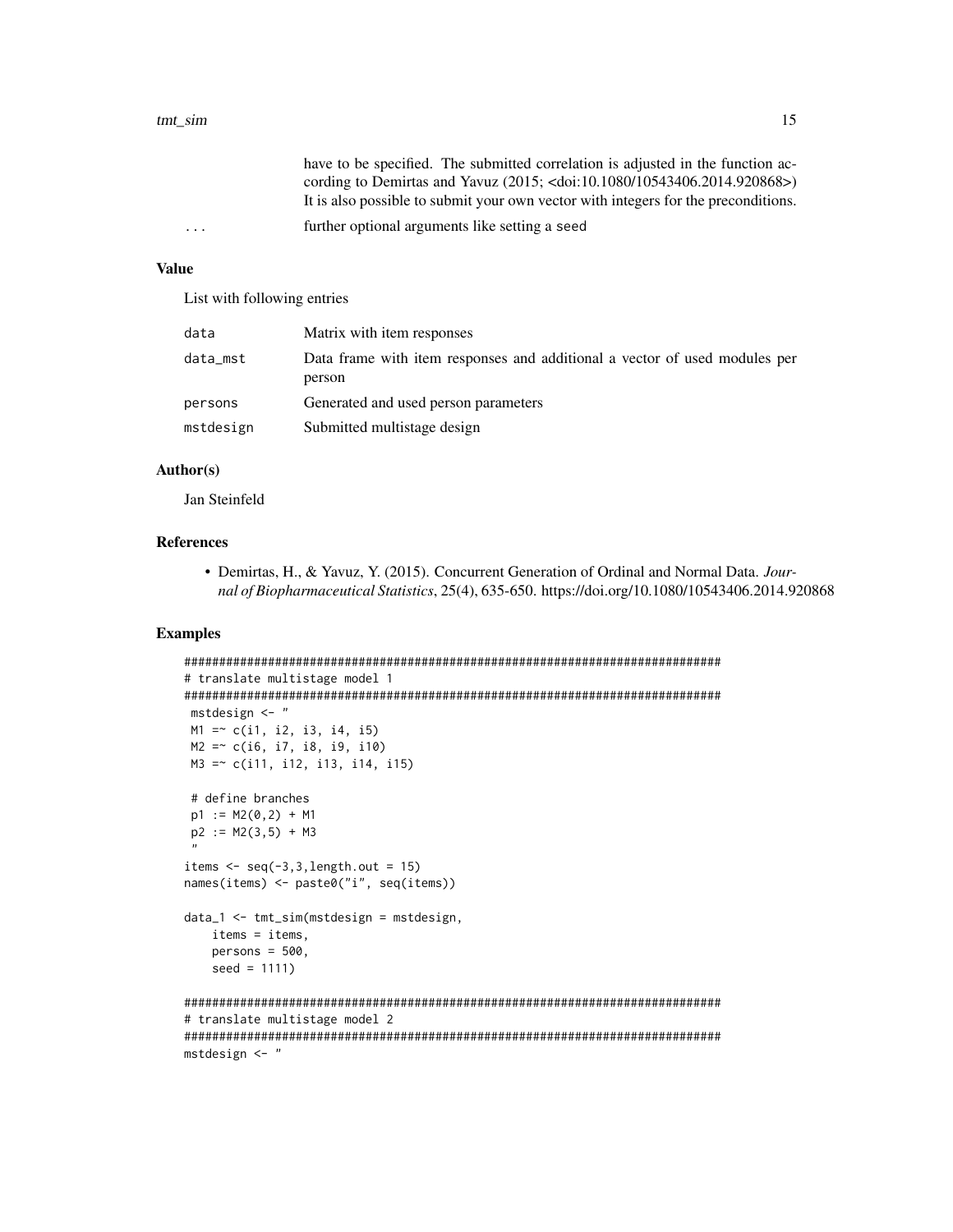|         | have to be specified. The submitted correlation is adjusted in the function ac-           |
|---------|-------------------------------------------------------------------------------------------|
|         | cording to Demirtas and Yavuz (2015; <doi:10.1080 10543406.2014.920868="">)</doi:10.1080> |
|         | It is also possible to submit your own vector with integers for the preconditions.        |
| $\cdot$ | further optional arguments like setting a seed                                            |

#### Value

List with following entries

| data      | Matrix with item responses                                                           |
|-----------|--------------------------------------------------------------------------------------|
| data_mst  | Data frame with item responses and additional a vector of used modules per<br>person |
| persons   | Generated and used person parameters                                                 |
| mstdesign | Submitted multistage design                                                          |

#### Author(s)

Jan Steinfeld

#### References

• Demirtas, H., & Yavuz, Y. (2015). Concurrent Generation of Ordinal and Normal Data. *Journal of Biopharmaceutical Statistics*, 25(4), 635-650. https://doi.org/10.1080/10543406.2014.920868

```
#############################################################################
# translate multistage model 1
#############################################################################
mstdesign <- "
M1 = c(i1, i2, i3, i4, i5)M2 = c(i6, i7, i8, i9, i10)M3 =~ c(i11, i12, i13, i14, i15)
# define branches
p1 := M2(0, 2) + M1p2 := M2(3,5) + M3"
items \leq seq(-3,3, length.out = 15)
names(items) <- paste0("i", seq(items))
data_1 <- tmt_sim(mstdesign = mstdesign,
   items = items,
   persons = 500,seed = 1111)
#############################################################################
# translate multistage model 2
#############################################################################
mstdesign <- "
```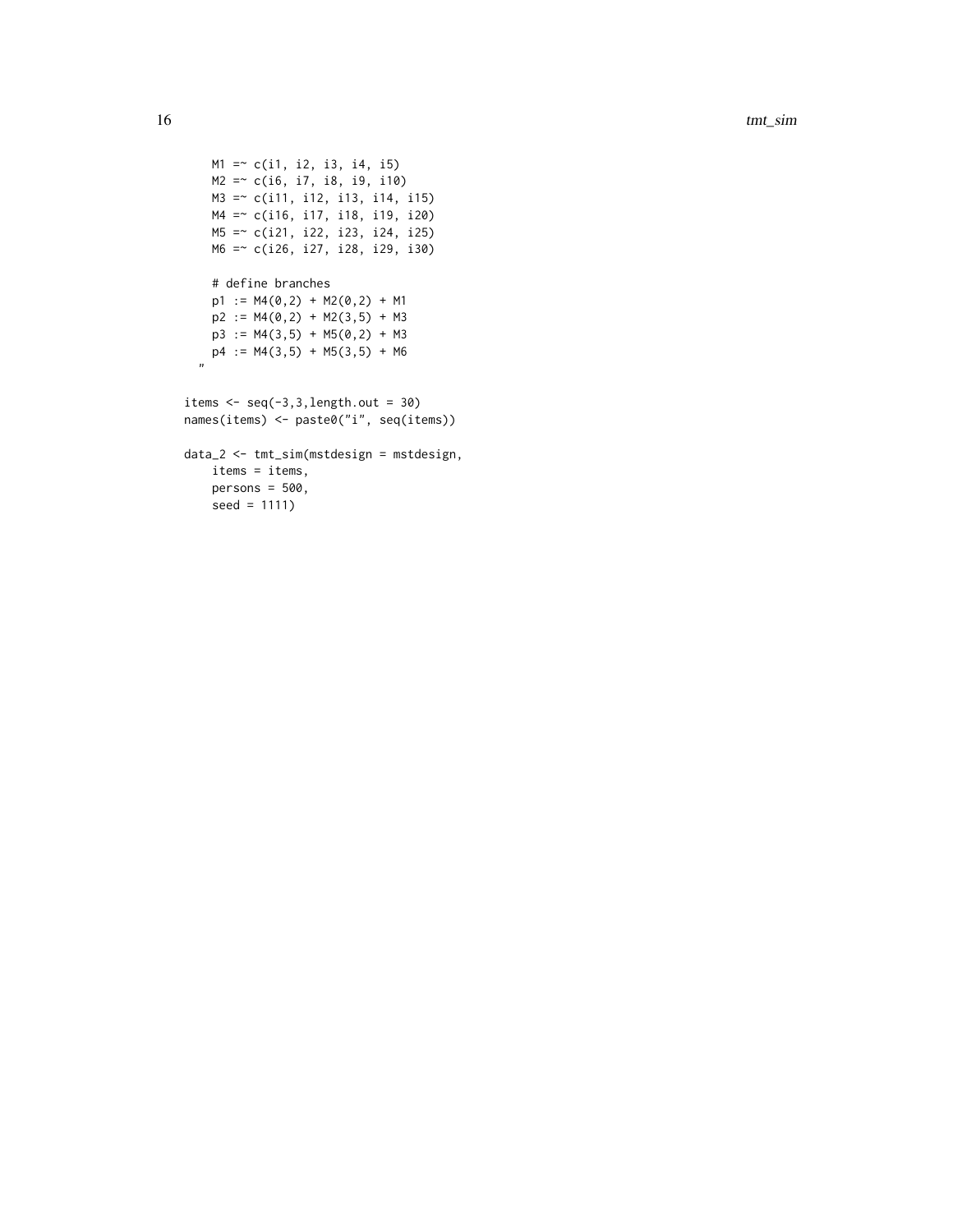```
M1 = c(i1, i2, i3, i4, i5)M2 =~ c(i6, i7, i8, i9, i10)
   M3 =~ c(i11, i12, i13, i14, i15)
   M4 =~ c(i16, i17, i18, i19, i20)
   M5 =~ c(i21, i22, i23, i24, i25)
   M6 =~ c(i26, i27, i28, i29, i30)
   # define branches
   p1 := M4(0,2) + M2(0,2) + M1p2 := M4(0,2) + M2(3,5) + M3p3 := M4(3,5) + M5(0,2) + M3p4 := M4(3,5) + M5(3,5) + M6
  "
items \leq seq(-3,3, length.out = 30)
names(items) <- paste0("i", seq(items))
data_2 <- tmt_sim(mstdesign = mstdesign,
   items = items,
   persons = 500,
```
seed = 1111)